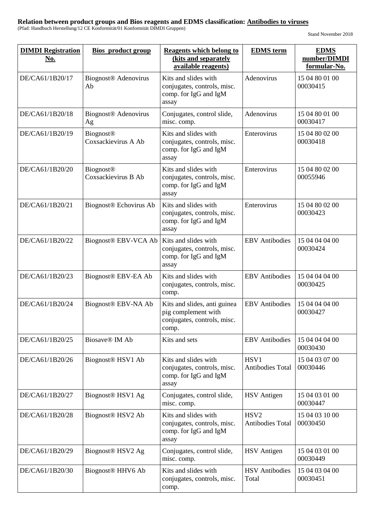| <b>DIMDI</b> Registration<br><u>No.</u> | <b>Bios</b> product group               | <b>Reagents which belong to</b><br>(kits and separately<br>available reagents)              | <b>EDMS</b> term                            | <b>EDMS</b><br>number/DIMDI<br>formular-No. |
|-----------------------------------------|-----------------------------------------|---------------------------------------------------------------------------------------------|---------------------------------------------|---------------------------------------------|
| DE/CA61/1B20/17                         | Biognost <sup>®</sup> Adenovirus<br>Ab  | Kits and slides with<br>conjugates, controls, misc.<br>comp. for IgG and IgM<br>assay       | Adenovirus                                  | 15 04 80 01 00<br>00030415                  |
| DE/CA61/1B20/18                         | Biognost <sup>®</sup> Adenovirus<br>Ag  | Conjugates, control slide,<br>misc. comp.                                                   | Adenovirus                                  | 15 04 80 01 00<br>00030417                  |
| DE/CA61/1B20/19                         | <b>Biognost®</b><br>Coxsackievirus A Ab | Kits and slides with<br>conjugates, controls, misc.<br>comp. for IgG and IgM<br>assay       | Enterovirus                                 | 15 04 80 02 00<br>00030418                  |
| DE/CA61/1B20/20                         | <b>Biognost®</b><br>Coxsackievirus B Ab | Kits and slides with<br>conjugates, controls, misc.<br>comp. for IgG and IgM<br>assay       | Enterovirus                                 | 15 04 80 02 00<br>00055946                  |
| DE/CA61/1B20/21                         | Biognost <sup>®</sup> Echovirus Ab      | Kits and slides with<br>conjugates, controls, misc.<br>comp. for IgG and IgM<br>assay       | Enterovirus                                 | 15 04 80 02 00<br>00030423                  |
| DE/CA61/1B20/22                         | Biognost <sup>®</sup> EBV-VCA Ab        | Kits and slides with<br>conjugates, controls, misc.<br>comp. for IgG and IgM<br>assay       | <b>EBV</b> Antibodies                       | 15 04 04 04 00<br>00030424                  |
| DE/CA61/1B20/23                         | Biognost <sup>®</sup> EBV-EA Ab         | Kits and slides with<br>conjugates, controls, misc.<br>comp.                                | <b>EBV</b> Antibodies                       | 15 04 04 04 00<br>00030425                  |
| DE/CA61/1B20/24                         | Biognost <sup>®</sup> EBV-NA Ab         | Kits and slides, anti guinea<br>pig complement with<br>conjugates, controls, misc.<br>comp. | <b>EBV</b> Antibodies                       | 15 04 04 04 00<br>00030427                  |
| DE/CA61/1B20/25                         | Biosave <sup>®</sup> IM Ab              | Kits and sets                                                                               | <b>EBV</b> Antibodies                       | 15 04 04 04 00<br>00030430                  |
| DE/CA61/1B20/26                         | Biognost <sup>®</sup> HSV1 Ab           | Kits and slides with<br>conjugates, controls, misc.<br>comp. for IgG and IgM<br>assay       | HSV1<br><b>Antibodies Total</b>             | 15 04 03 07 00<br>00030446                  |
| DE/CA61/1B20/27                         | Biognost <sup>®</sup> HSV1 Ag           | Conjugates, control slide,<br>misc. comp.                                                   | <b>HSV</b> Antigen                          | 15 04 03 01 00<br>00030447                  |
| DE/CA61/1B20/28                         | Biognost <sup>®</sup> HSV2 Ab           | Kits and slides with<br>conjugates, controls, misc.<br>comp. for IgG and IgM<br>assay       | HSV <sub>2</sub><br><b>Antibodies Total</b> | 15 04 03 10 00<br>00030450                  |
| DE/CA61/1B20/29                         | Biognost <sup>®</sup> HSV2 Ag           | Conjugates, control slide,<br>misc. comp.                                                   | <b>HSV</b> Antigen                          | 15 04 03 01 00<br>00030449                  |
| DE/CA61/1B20/30                         | Biognost <sup>®</sup> HHV6 Ab           | Kits and slides with<br>conjugates, controls, misc.<br>comp.                                | <b>HSV</b> Antibodies<br>Total              | 15 04 03 04 00<br>00030451                  |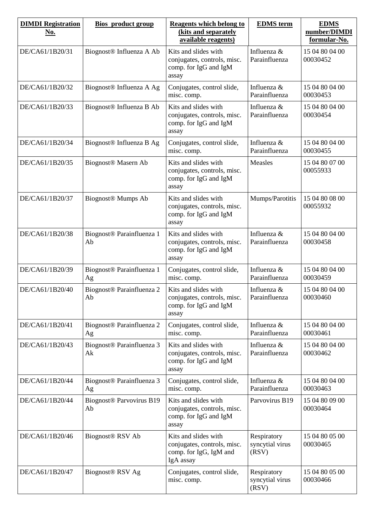| <b>DIMDI</b> Registration<br>No. | <b>Bios</b> product group                   | <b>Reagents which belong to</b><br>(kits and separately<br>available reagents)             | <b>EDMS</b> term                        | <b>EDMS</b><br>number/DIMDI<br>formular-No. |
|----------------------------------|---------------------------------------------|--------------------------------------------------------------------------------------------|-----------------------------------------|---------------------------------------------|
| DE/CA61/1B20/31                  | Biognost <sup>®</sup> Influenza A Ab        | Kits and slides with<br>conjugates, controls, misc.<br>comp. for IgG and IgM<br>assay      | Influenza &<br>Parainfluenza            | 15 04 80 04 00<br>00030452                  |
| DE/CA61/1B20/32                  | Biognost <sup>®</sup> Influenza A Ag        | Conjugates, control slide,<br>misc. comp.                                                  | Influenza &<br>Parainfluenza            | 15 04 80 04 00<br>00030453                  |
| DE/CA61/1B20/33                  | Biognost <sup>®</sup> Influenza B Ab        | Kits and slides with<br>conjugates, controls, misc.<br>comp. for IgG and IgM<br>assay      | Influenza &<br>Parainfluenza            | 15 04 80 04 00<br>00030454                  |
| DE/CA61/1B20/34                  | Biognost <sup>®</sup> Influenza B Ag        | Conjugates, control slide,<br>misc. comp.                                                  | Influenza &<br>Parainfluenza            | 15 04 80 04 00<br>00030455                  |
| DE/CA61/1B20/35                  | Biognost <sup>®</sup> Masern Ab             | Kits and slides with<br>conjugates, controls, misc.<br>comp. for IgG and IgM<br>assay      | Measles                                 | 15 04 80 07 00<br>00055933                  |
| DE/CA61/1B20/37                  | <b>Biognost® Mumps Ab</b>                   | Kits and slides with<br>conjugates, controls, misc.<br>comp. for IgG and IgM<br>assay      | Mumps/Parotitis                         | 15 04 80 08 00<br>00055932                  |
| DE/CA61/1B20/38                  | Biognost <sup>®</sup> Parainfluenza 1<br>Ab | Kits and slides with<br>conjugates, controls, misc.<br>comp. for IgG and IgM<br>assay      | Influenza &<br>Parainfluenza            | 15 04 80 04 00<br>00030458                  |
| DE/CA61/1B20/39                  | Biognost <sup>®</sup> Parainfluenza 1<br>Ag | Conjugates, control slide,<br>misc. comp.                                                  | Influenza &<br>Parainfluenza            | 15 04 80 04 00<br>00030459                  |
| DE/CA61/1B20/40                  | Biognost <sup>®</sup> Parainfluenza 2<br>Ab | Kits and slides with<br>conjugates, controls, misc.<br>comp. for IgG and IgM<br>assay      | Influenza &<br>Parainfluenza            | 15 04 80 04 00<br>00030460                  |
| DE/CA61/1B20/41                  | Biognost <sup>®</sup> Parainfluenza 2<br>Ag | Conjugates, control slide,<br>misc. comp.                                                  | Influenza &<br>Parainfluenza            | 15 04 80 04 00<br>00030461                  |
| DE/CA61/1B20/43                  | Biognost <sup>®</sup> Parainfluenza 3<br>Ak | Kits and slides with<br>conjugates, controls, misc.<br>comp. for IgG and IgM<br>assay      | Influenza &<br>Parainfluenza            | 15 04 80 04 00<br>00030462                  |
| DE/CA61/1B20/44                  | Biognost <sup>®</sup> Parainfluenza 3<br>Ag | Conjugates, control slide,<br>misc. comp.                                                  | Influenza &<br>Parainfluenza            | 15 04 80 04 00<br>00030463                  |
| DE/CA61/1B20/44                  | Biognost <sup>®</sup> Parvovirus B19<br>Ab  | Kits and slides with<br>conjugates, controls, misc.<br>comp. for IgG and IgM<br>assay      | Parvovirus B19                          | 15 04 80 09 00<br>00030464                  |
| DE/CA61/1B20/46                  | Biognost <sup>®</sup> RSV Ab                | Kits and slides with<br>conjugates, controls, misc.<br>comp. for IgG, IgM and<br>IgA assay | Respiratory<br>syncytial virus<br>(RSV) | 15 04 80 05 00<br>00030465                  |
| DE/CA61/1B20/47                  | Biognost <sup>®</sup> RSV Ag                | Conjugates, control slide,<br>misc. comp.                                                  | Respiratory<br>syncytial virus<br>(RSV) | 15 04 80 05 00<br>00030466                  |